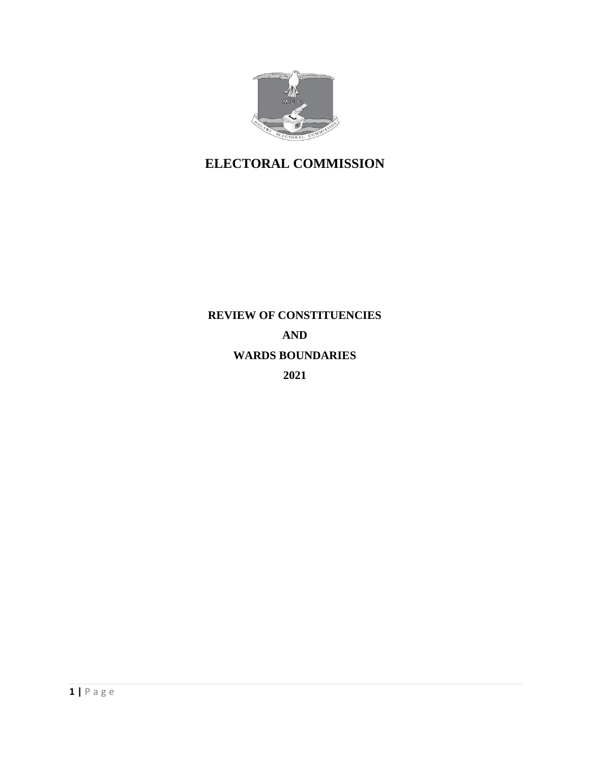

# **ELECTORAL COMMISSION**

# **REVIEW OF CONSTITUENCIES AND WARDS BOUNDARIES 2021**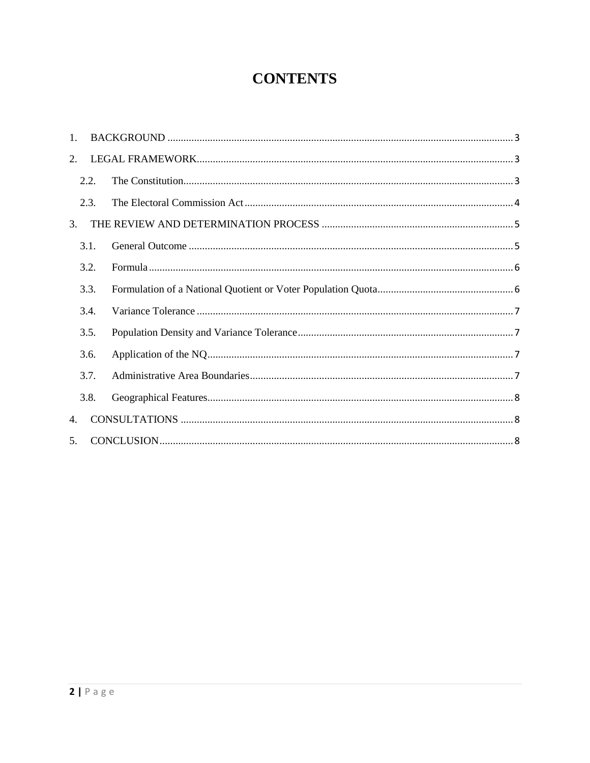# **CONTENTS**

| $\mathbf{1}$ . |      |  |
|----------------|------|--|
| 2.             |      |  |
|                | 2.2. |  |
|                | 2.3. |  |
| $\mathcal{E}$  |      |  |
|                | 3.1. |  |
|                | 3.2. |  |
|                | 3.3. |  |
|                | 3.4. |  |
|                | 3.5. |  |
|                | 3.6. |  |
|                | 3.7. |  |
|                | 3.8. |  |
| $\mathbf{4}$ . |      |  |
| 5 <sub>1</sub> |      |  |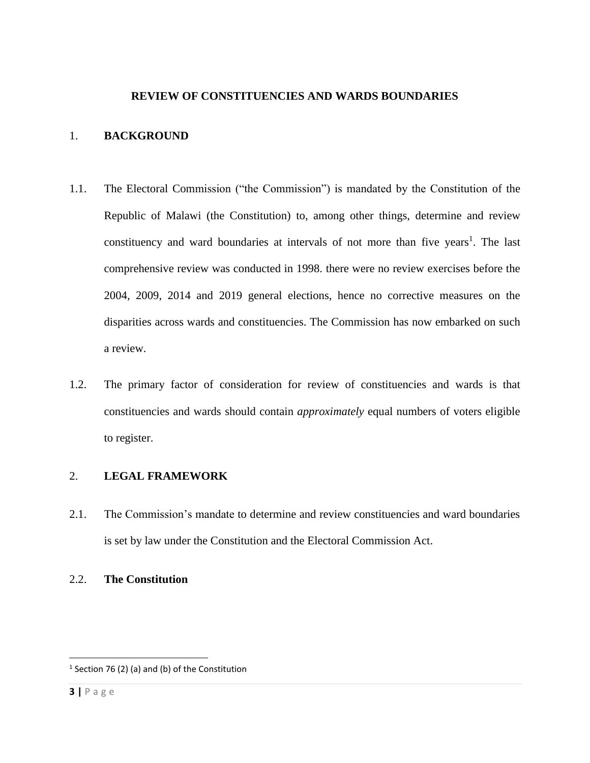#### **REVIEW OF CONSTITUENCIES AND WARDS BOUNDARIES**

#### <span id="page-2-0"></span>1. **BACKGROUND**

- 1.1. The Electoral Commission ("the Commission") is mandated by the Constitution of the Republic of Malawi (the Constitution) to, among other things, determine and review constituency and ward boundaries at intervals of not more than five years<sup>1</sup>. The last comprehensive review was conducted in 1998. there were no review exercises before the 2004, 2009, 2014 and 2019 general elections, hence no corrective measures on the disparities across wards and constituencies. The Commission has now embarked on such a review.
- 1.2. The primary factor of consideration for review of constituencies and wards is that constituencies and wards should contain *approximately* equal numbers of voters eligible to register.

#### <span id="page-2-1"></span>2. **LEGAL FRAMEWORK**

- 2.1. The Commission's mandate to determine and review constituencies and ward boundaries is set by law under the Constitution and the Electoral Commission Act.
- <span id="page-2-2"></span>2.2. **The Constitution**

 $\overline{\phantom{a}}$ 

 $1$  Section 76 (2) (a) and (b) of the Constitution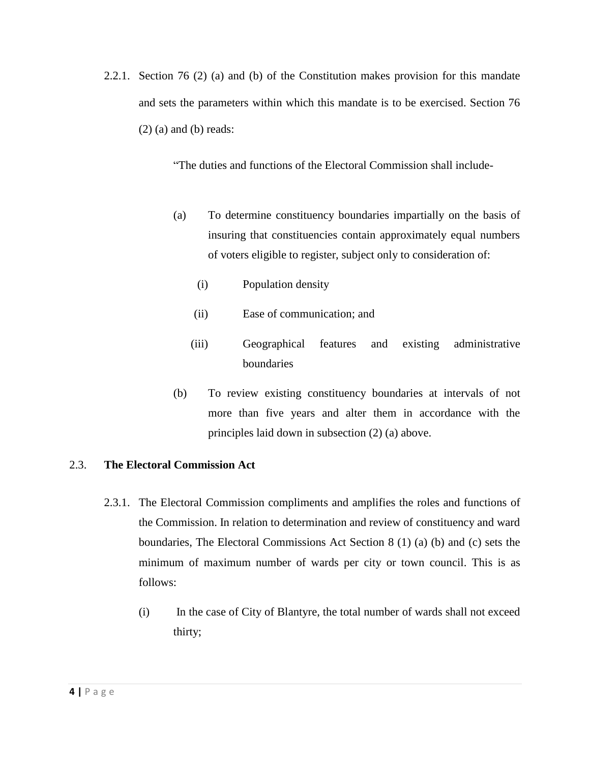2.2.1. Section 76 (2) (a) and (b) of the Constitution makes provision for this mandate and sets the parameters within which this mandate is to be exercised. Section 76  $(2)$  (a) and (b) reads:

"The duties and functions of the Electoral Commission shall include-

- (a) To determine constituency boundaries impartially on the basis of insuring that constituencies contain approximately equal numbers of voters eligible to register, subject only to consideration of:
	- (i) Population density
	- (ii) Ease of communication; and
	- (iii) Geographical features and existing administrative boundaries
- (b) To review existing constituency boundaries at intervals of not more than five years and alter them in accordance with the principles laid down in subsection (2) (a) above.

# <span id="page-3-0"></span>2.3. **The Electoral Commission Act**

- 2.3.1. The Electoral Commission compliments and amplifies the roles and functions of the Commission. In relation to determination and review of constituency and ward boundaries, The Electoral Commissions Act Section 8 (1) (a) (b) and (c) sets the minimum of maximum number of wards per city or town council. This is as follows:
	- (i) In the case of City of Blantyre, the total number of wards shall not exceed thirty;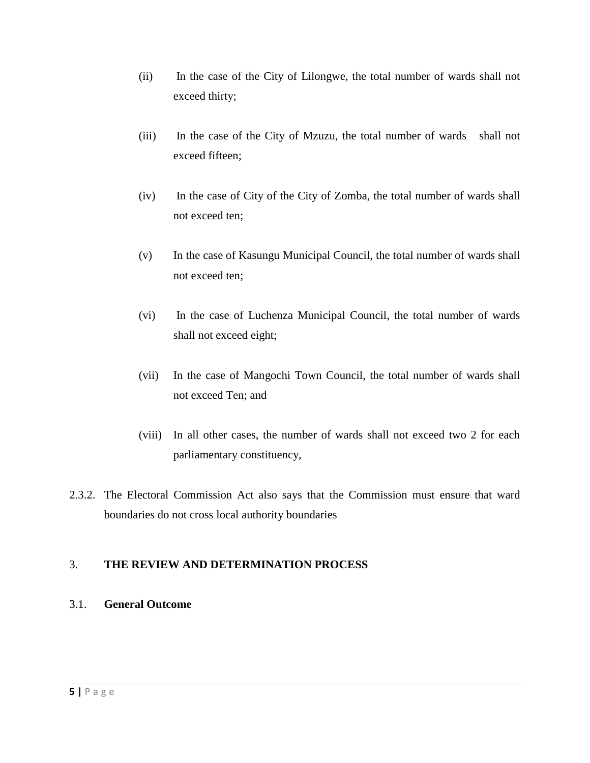- (ii) In the case of the City of Lilongwe, the total number of wards shall not exceed thirty;
- (iii) In the case of the City of Mzuzu, the total number of wards shall not exceed fifteen;
- (iv) In the case of City of the City of Zomba, the total number of wards shall not exceed ten;
- (v) In the case of Kasungu Municipal Council, the total number of wards shall not exceed ten;
- (vi) In the case of Luchenza Municipal Council, the total number of wards shall not exceed eight;
- (vii) In the case of Mangochi Town Council, the total number of wards shall not exceed Ten; and
- (viii) In all other cases, the number of wards shall not exceed two 2 for each parliamentary constituency,
- 2.3.2. The Electoral Commission Act also says that the Commission must ensure that ward boundaries do not cross local authority boundaries

# <span id="page-4-0"></span>3. **THE REVIEW AND DETERMINATION PROCESS**

# <span id="page-4-1"></span>3.1. **General Outcome**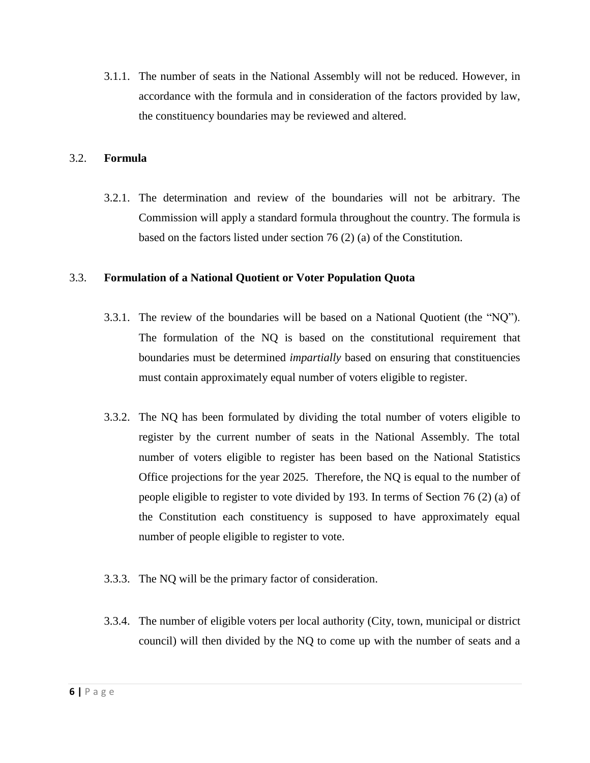3.1.1. The number of seats in the National Assembly will not be reduced. However, in accordance with the formula and in consideration of the factors provided by law, the constituency boundaries may be reviewed and altered.

## <span id="page-5-0"></span>3.2. **Formula**

3.2.1. The determination and review of the boundaries will not be arbitrary. The Commission will apply a standard formula throughout the country. The formula is based on the factors listed under section 76 (2) (a) of the Constitution.

#### <span id="page-5-1"></span>3.3. **Formulation of a National Quotient or Voter Population Quota**

- 3.3.1. The review of the boundaries will be based on a National Quotient (the "NQ"). The formulation of the NQ is based on the constitutional requirement that boundaries must be determined *impartially* based on ensuring that constituencies must contain approximately equal number of voters eligible to register.
- 3.3.2. The NQ has been formulated by dividing the total number of voters eligible to register by the current number of seats in the National Assembly. The total number of voters eligible to register has been based on the National Statistics Office projections for the year 2025. Therefore, the NQ is equal to the number of people eligible to register to vote divided by 193. In terms of Section 76 (2) (a) of the Constitution each constituency is supposed to have approximately equal number of people eligible to register to vote.
- 3.3.3. The NQ will be the primary factor of consideration.
- 3.3.4. The number of eligible voters per local authority (City, town, municipal or district council) will then divided by the NQ to come up with the number of seats and a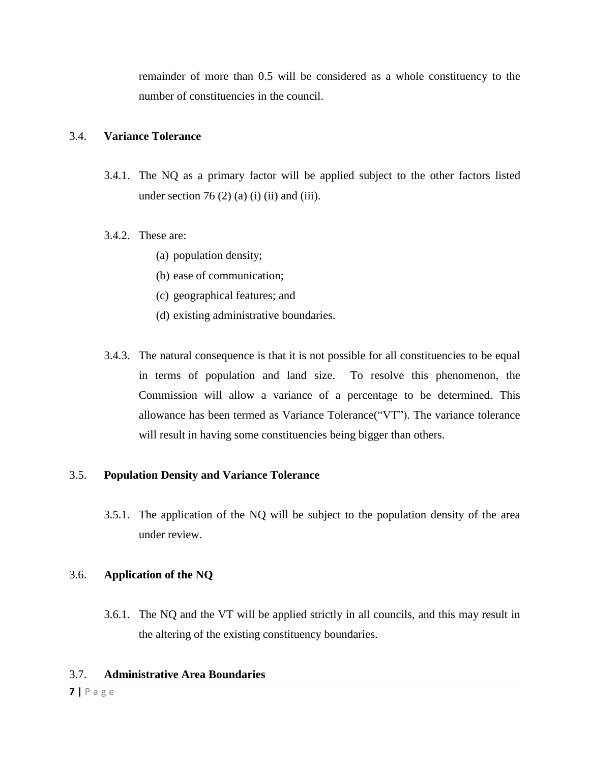remainder of more than 0.5 will be considered as a whole constituency to the number of constituencies in the council.

## <span id="page-6-0"></span>3.4. **Variance Tolerance**

3.4.1. The NQ as a primary factor will be applied subject to the other factors listed under section 76 $(2)$  (a) (i) (ii) and (iii).

## 3.4.2. These are:

- (a) population density;
- (b) ease of communication;
- (c) geographical features; and
- (d) existing administrative boundaries.
- 3.4.3. The natural consequence is that it is not possible for all constituencies to be equal in terms of population and land size. To resolve this phenomenon, the Commission will allow a variance of a percentage to be determined. This allowance has been termed as Variance Tolerance("VT"). The variance tolerance will result in having some constituencies being bigger than others.

#### <span id="page-6-1"></span>3.5. **Population Density and Variance Tolerance**

3.5.1. The application of the NQ will be subject to the population density of the area under review.

# <span id="page-6-2"></span>3.6. **Application of the NQ**

3.6.1. The NQ and the VT will be applied strictly in all councils, and this may result in the altering of the existing constituency boundaries.

#### <span id="page-6-3"></span>3.7. **Administrative Area Boundaries**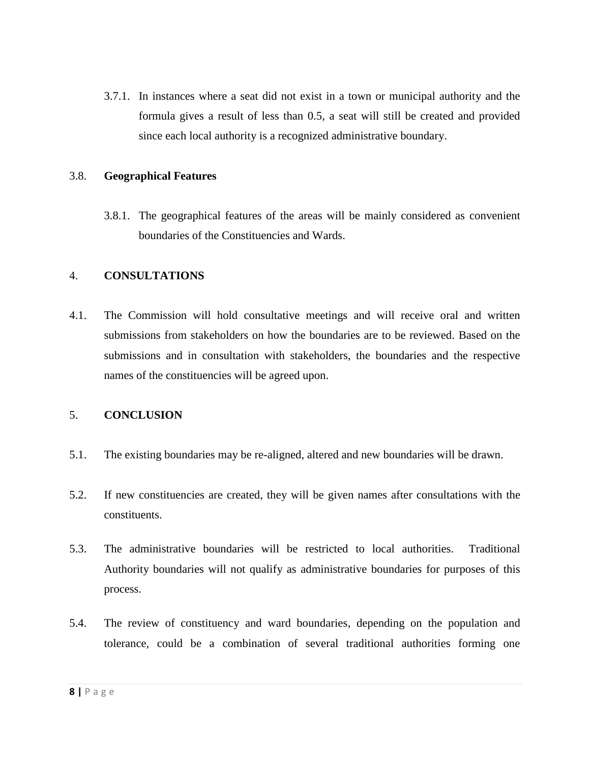3.7.1. In instances where a seat did not exist in a town or municipal authority and the formula gives a result of less than 0.5, a seat will still be created and provided since each local authority is a recognized administrative boundary.

#### <span id="page-7-0"></span>3.8. **Geographical Features**

3.8.1. The geographical features of the areas will be mainly considered as convenient boundaries of the Constituencies and Wards.

#### <span id="page-7-1"></span>4. **CONSULTATIONS**

4.1. The Commission will hold consultative meetings and will receive oral and written submissions from stakeholders on how the boundaries are to be reviewed. Based on the submissions and in consultation with stakeholders, the boundaries and the respective names of the constituencies will be agreed upon.

#### <span id="page-7-2"></span>5. **CONCLUSION**

- 5.1. The existing boundaries may be re-aligned, altered and new boundaries will be drawn.
- 5.2. If new constituencies are created, they will be given names after consultations with the constituents.
- 5.3. The administrative boundaries will be restricted to local authorities. Traditional Authority boundaries will not qualify as administrative boundaries for purposes of this process.
- 5.4. The review of constituency and ward boundaries, depending on the population and tolerance, could be a combination of several traditional authorities forming one